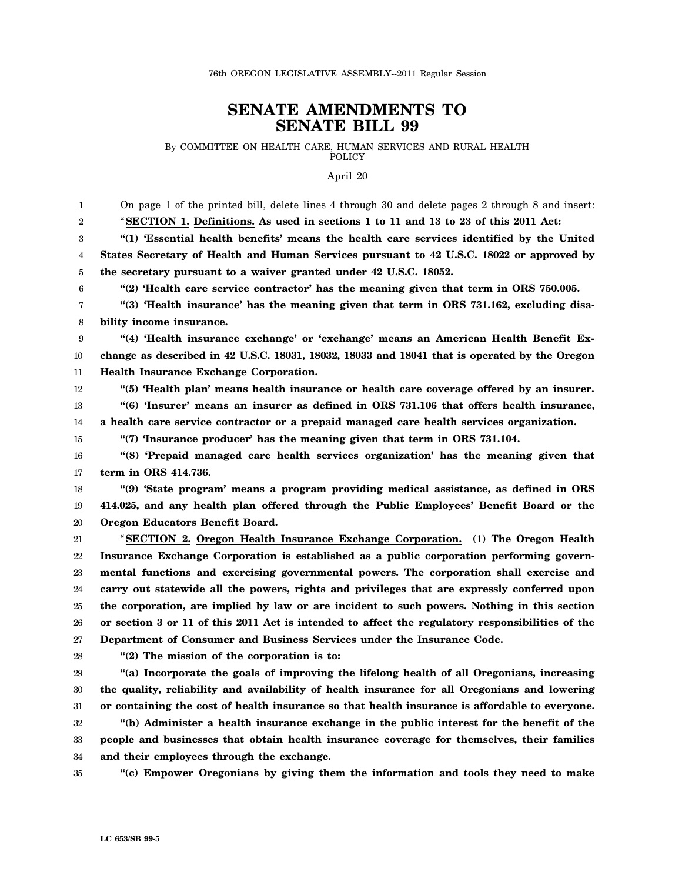## **SENATE AMENDMENTS TO SENATE BILL 99**

By COMMITTEE ON HEALTH CARE, HUMAN SERVICES AND RURAL HEALTH POLICY

April 20

1 2 3 4 5 6 7 8 9 10 11 12 13 14 15 16 17 18 19 20 21 22 23 24 25 26 27 28 29 30 31 32 33 34 35 On page 1 of the printed bill, delete lines 4 through 30 and delete pages 2 through 8 and insert: "**SECTION 1. Definitions. As used in sections 1 to 11 and 13 to 23 of this 2011 Act: "(1) 'Essential health benefits' means the health care services identified by the United States Secretary of Health and Human Services pursuant to 42 U.S.C. 18022 or approved by the secretary pursuant to a waiver granted under 42 U.S.C. 18052. "(2) 'Health care service contractor' has the meaning given that term in ORS 750.005. "(3) 'Health insurance' has the meaning given that term in ORS 731.162, excluding disability income insurance. "(4) 'Health insurance exchange' or 'exchange' means an American Health Benefit Exchange as described in 42 U.S.C. 18031, 18032, 18033 and 18041 that is operated by the Oregon Health Insurance Exchange Corporation. "(5) 'Health plan' means health insurance or health care coverage offered by an insurer. "(6) 'Insurer' means an insurer as defined in ORS 731.106 that offers health insurance, a health care service contractor or a prepaid managed care health services organization. "(7) 'Insurance producer' has the meaning given that term in ORS 731.104. "(8) 'Prepaid managed care health services organization' has the meaning given that term in ORS 414.736. "(9) 'State program' means a program providing medical assistance, as defined in ORS 414.025, and any health plan offered through the Public Employees' Benefit Board or the Oregon Educators Benefit Board.** "**SECTION 2. Oregon Health Insurance Exchange Corporation. (1) The Oregon Health Insurance Exchange Corporation is established as a public corporation performing governmental functions and exercising governmental powers. The corporation shall exercise and carry out statewide all the powers, rights and privileges that are expressly conferred upon the corporation, are implied by law or are incident to such powers. Nothing in this section or section 3 or 11 of this 2011 Act is intended to affect the regulatory responsibilities of the Department of Consumer and Business Services under the Insurance Code. "(2) The mission of the corporation is to: "(a) Incorporate the goals of improving the lifelong health of all Oregonians, increasing the quality, reliability and availability of health insurance for all Oregonians and lowering or containing the cost of health insurance so that health insurance is affordable to everyone. "(b) Administer a health insurance exchange in the public interest for the benefit of the people and businesses that obtain health insurance coverage for themselves, their families and their employees through the exchange. "(c) Empower Oregonians by giving them the information and tools they need to make**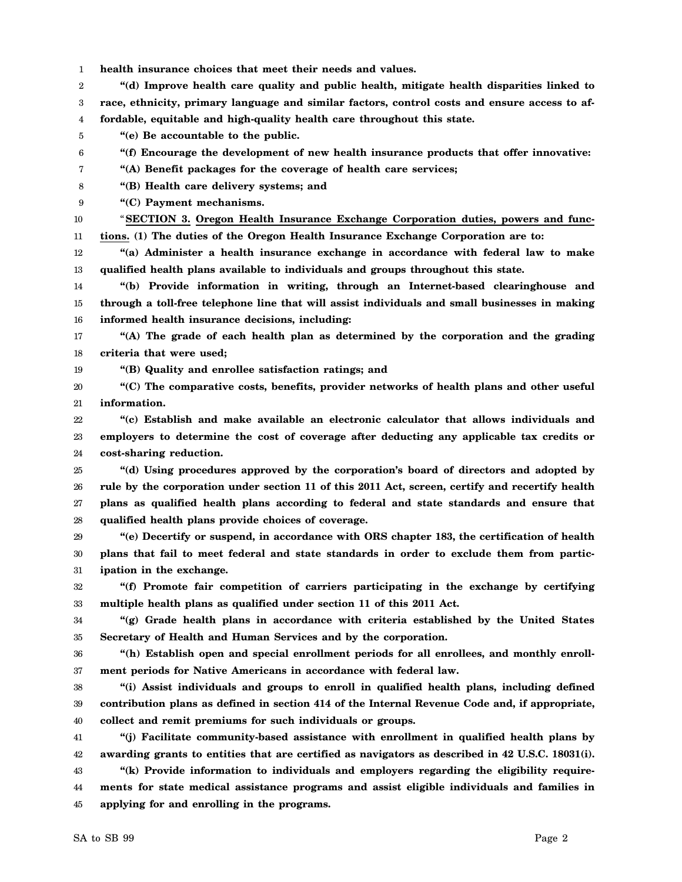1 **health insurance choices that meet their needs and values.**

2 3 4 **"(d) Improve health care quality and public health, mitigate health disparities linked to race, ethnicity, primary language and similar factors, control costs and ensure access to affordable, equitable and high-quality health care throughout this state.**

- 5 **"(e) Be accountable to the public.**
- 6 **"(f) Encourage the development of new health insurance products that offer innovative:**
- 7 **"(A) Benefit packages for the coverage of health care services;**
- 8 **"(B) Health care delivery systems; and**
- 9 **"(C) Payment mechanisms.**

10 11 "**SECTION 3. Oregon Health Insurance Exchange Corporation duties, powers and functions. (1) The duties of the Oregon Health Insurance Exchange Corporation are to:**

12 13 **"(a) Administer a health insurance exchange in accordance with federal law to make qualified health plans available to individuals and groups throughout this state.**

14 15 16 **"(b) Provide information in writing, through an Internet-based clearinghouse and through a toll-free telephone line that will assist individuals and small businesses in making informed health insurance decisions, including:**

17 18 **"(A) The grade of each health plan as determined by the corporation and the grading criteria that were used;**

19 **"(B) Quality and enrollee satisfaction ratings; and**

20 21 **"(C) The comparative costs, benefits, provider networks of health plans and other useful information.**

22 23 24 **"(c) Establish and make available an electronic calculator that allows individuals and employers to determine the cost of coverage after deducting any applicable tax credits or cost-sharing reduction.**

25 26 27 28 **"(d) Using procedures approved by the corporation's board of directors and adopted by rule by the corporation under section 11 of this 2011 Act, screen, certify and recertify health plans as qualified health plans according to federal and state standards and ensure that qualified health plans provide choices of coverage.**

29 30 31 **"(e) Decertify or suspend, in accordance with ORS chapter 183, the certification of health plans that fail to meet federal and state standards in order to exclude them from participation in the exchange.**

32 33 **"(f) Promote fair competition of carriers participating in the exchange by certifying multiple health plans as qualified under section 11 of this 2011 Act.**

34 35 **"(g) Grade health plans in accordance with criteria established by the United States Secretary of Health and Human Services and by the corporation.**

36 37 **"(h) Establish open and special enrollment periods for all enrollees, and monthly enrollment periods for Native Americans in accordance with federal law.**

38 39 40 **"(i) Assist individuals and groups to enroll in qualified health plans, including defined contribution plans as defined in section 414 of the Internal Revenue Code and, if appropriate, collect and remit premiums for such individuals or groups.**

41 42 43 **"(j) Facilitate community-based assistance with enrollment in qualified health plans by awarding grants to entities that are certified as navigators as described in 42 U.S.C. 18031(i). "(k) Provide information to individuals and employers regarding the eligibility require-**

44 45 **ments for state medical assistance programs and assist eligible individuals and families in applying for and enrolling in the programs.**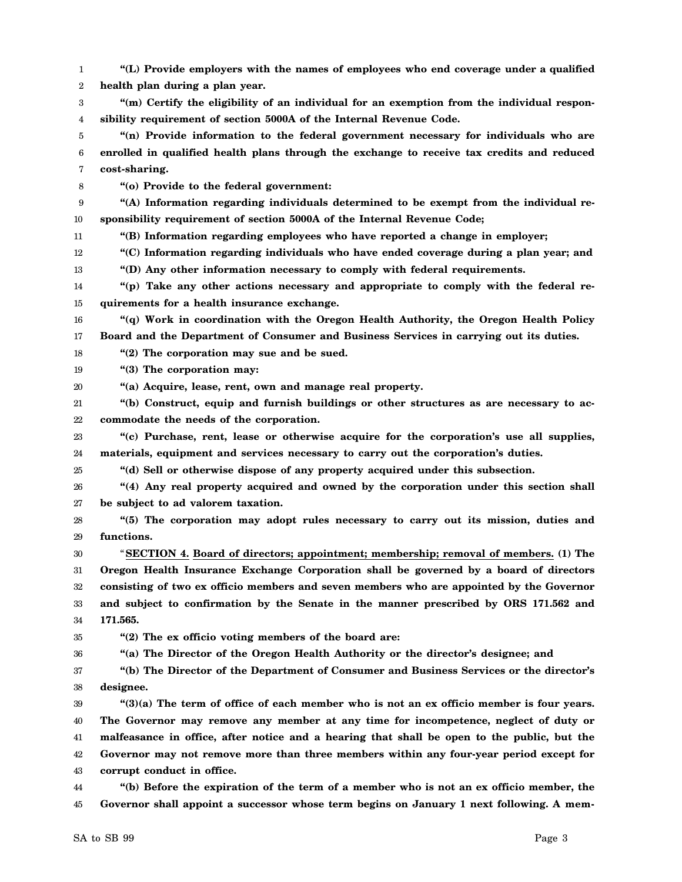1 2 3 4 5 6 7 8 9 10 11 12 13 14 15 16 17 18 19 20 21 22 23 24 25 26 27 28 29 30 31 32 33 34 35 36 37 38 39 40 41 42 43 44 45 **"(L) Provide employers with the names of employees who end coverage under a qualified health plan during a plan year. "(m) Certify the eligibility of an individual for an exemption from the individual responsibility requirement of section 5000A of the Internal Revenue Code. "(n) Provide information to the federal government necessary for individuals who are enrolled in qualified health plans through the exchange to receive tax credits and reduced cost-sharing. "(o) Provide to the federal government: "(A) Information regarding individuals determined to be exempt from the individual responsibility requirement of section 5000A of the Internal Revenue Code; "(B) Information regarding employees who have reported a change in employer; "(C) Information regarding individuals who have ended coverage during a plan year; and "(D) Any other information necessary to comply with federal requirements. "(p) Take any other actions necessary and appropriate to comply with the federal requirements for a health insurance exchange. "(q) Work in coordination with the Oregon Health Authority, the Oregon Health Policy Board and the Department of Consumer and Business Services in carrying out its duties. "(2) The corporation may sue and be sued. "(3) The corporation may: "(a) Acquire, lease, rent, own and manage real property. "(b) Construct, equip and furnish buildings or other structures as are necessary to accommodate the needs of the corporation. "(c) Purchase, rent, lease or otherwise acquire for the corporation's use all supplies, materials, equipment and services necessary to carry out the corporation's duties. "(d) Sell or otherwise dispose of any property acquired under this subsection. "(4) Any real property acquired and owned by the corporation under this section shall be subject to ad valorem taxation. "(5) The corporation may adopt rules necessary to carry out its mission, duties and functions.** "**SECTION 4. Board of directors; appointment; membership; removal of members. (1) The Oregon Health Insurance Exchange Corporation shall be governed by a board of directors consisting of two ex officio members and seven members who are appointed by the Governor and subject to confirmation by the Senate in the manner prescribed by ORS 171.562 and 171.565. "(2) The ex officio voting members of the board are: "(a) The Director of the Oregon Health Authority or the director's designee; and "(b) The Director of the Department of Consumer and Business Services or the director's designee. "(3)(a) The term of office of each member who is not an ex officio member is four years. The Governor may remove any member at any time for incompetence, neglect of duty or malfeasance in office, after notice and a hearing that shall be open to the public, but the Governor may not remove more than three members within any four-year period except for corrupt conduct in office. "(b) Before the expiration of the term of a member who is not an ex officio member, the Governor shall appoint a successor whose term begins on January 1 next following. A mem-**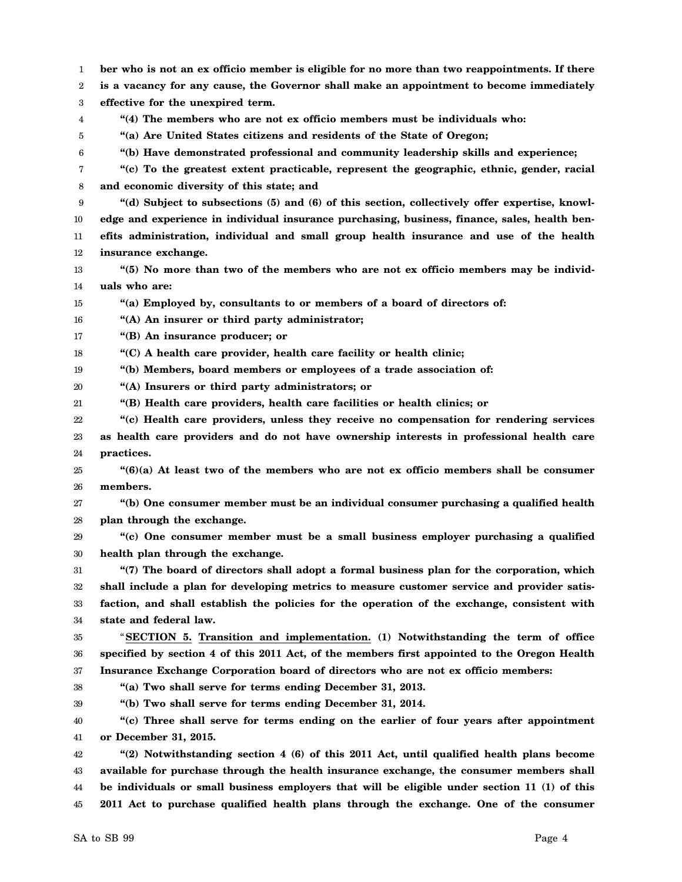1 2 3 4 5 6 7 8 9 10 11 12 13 14 15 16 17 18 19 20 21 22 23 24 25 26 27 28 29 30 31 32 33 34 35 36 37 38 39 40 41 42 43 44 **ber who is not an ex officio member is eligible for no more than two reappointments. If there is a vacancy for any cause, the Governor shall make an appointment to become immediately effective for the unexpired term. "(4) The members who are not ex officio members must be individuals who: "(a) Are United States citizens and residents of the State of Oregon; "(b) Have demonstrated professional and community leadership skills and experience; "(c) To the greatest extent practicable, represent the geographic, ethnic, gender, racial and economic diversity of this state; and "(d) Subject to subsections (5) and (6) of this section, collectively offer expertise, knowledge and experience in individual insurance purchasing, business, finance, sales, health benefits administration, individual and small group health insurance and use of the health insurance exchange. "(5) No more than two of the members who are not ex officio members may be individuals who are: "(a) Employed by, consultants to or members of a board of directors of: "(A) An insurer or third party administrator; "(B) An insurance producer; or "(C) A health care provider, health care facility or health clinic; "(b) Members, board members or employees of a trade association of: "(A) Insurers or third party administrators; or "(B) Health care providers, health care facilities or health clinics; or "(c) Health care providers, unless they receive no compensation for rendering services as health care providers and do not have ownership interests in professional health care practices. "(6)(a) At least two of the members who are not ex officio members shall be consumer members. "(b) One consumer member must be an individual consumer purchasing a qualified health plan through the exchange. "(c) One consumer member must be a small business employer purchasing a qualified health plan through the exchange. "(7) The board of directors shall adopt a formal business plan for the corporation, which shall include a plan for developing metrics to measure customer service and provider satisfaction, and shall establish the policies for the operation of the exchange, consistent with state and federal law.** "**SECTION 5. Transition and implementation. (1) Notwithstanding the term of office specified by section 4 of this 2011 Act, of the members first appointed to the Oregon Health Insurance Exchange Corporation board of directors who are not ex officio members: "(a) Two shall serve for terms ending December 31, 2013. "(b) Two shall serve for terms ending December 31, 2014. "(c) Three shall serve for terms ending on the earlier of four years after appointment or December 31, 2015. "(2) Notwithstanding section 4 (6) of this 2011 Act, until qualified health plans become available for purchase through the health insurance exchange, the consumer members shall be individuals or small business employers that will be eligible under section 11 (1) of this**

**2011 Act to purchase qualified health plans through the exchange. One of the consumer**

45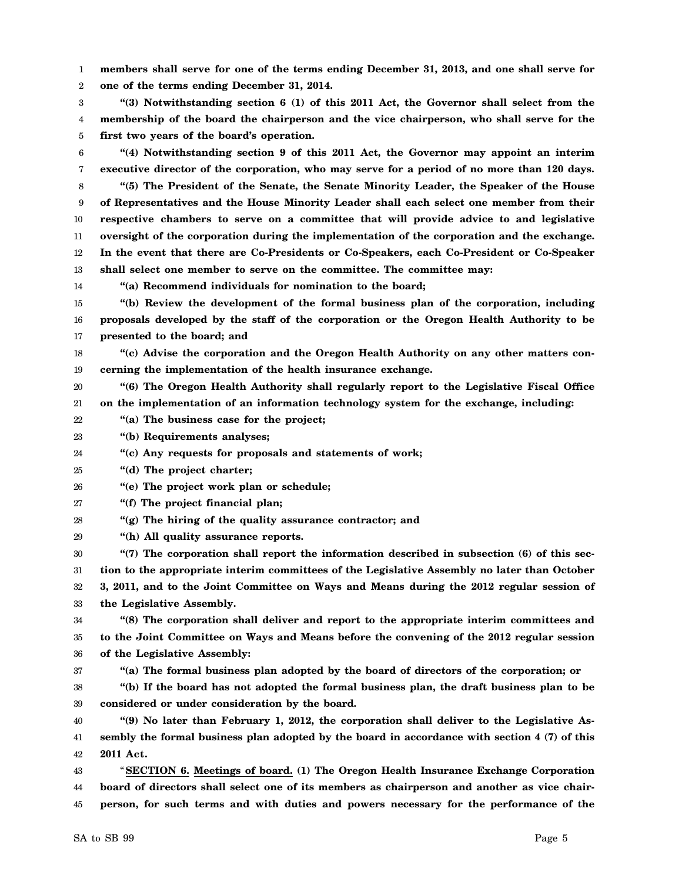1 2 **members shall serve for one of the terms ending December 31, 2013, and one shall serve for one of the terms ending December 31, 2014.**

3 4 5 **"(3) Notwithstanding section 6 (1) of this 2011 Act, the Governor shall select from the membership of the board the chairperson and the vice chairperson, who shall serve for the first two years of the board's operation.**

6 7 8 9 10 11 12 13 **"(4) Notwithstanding section 9 of this 2011 Act, the Governor may appoint an interim executive director of the corporation, who may serve for a period of no more than 120 days. "(5) The President of the Senate, the Senate Minority Leader, the Speaker of the House of Representatives and the House Minority Leader shall each select one member from their respective chambers to serve on a committee that will provide advice to and legislative oversight of the corporation during the implementation of the corporation and the exchange. In the event that there are Co-Presidents or Co-Speakers, each Co-President or Co-Speaker shall select one member to serve on the committee. The committee may:**

14 **"(a) Recommend individuals for nomination to the board;**

15 16 17 **"(b) Review the development of the formal business plan of the corporation, including proposals developed by the staff of the corporation or the Oregon Health Authority to be presented to the board; and**

18 19 **"(c) Advise the corporation and the Oregon Health Authority on any other matters concerning the implementation of the health insurance exchange.**

20 21 **"(6) The Oregon Health Authority shall regularly report to the Legislative Fiscal Office on the implementation of an information technology system for the exchange, including:**

22 **"(a) The business case for the project;**

23 **"(b) Requirements analyses;**

24 **"(c) Any requests for proposals and statements of work;**

25 **"(d) The project charter;**

26 **"(e) The project work plan or schedule;**

27 **"(f) The project financial plan;**

28 **"(g) The hiring of the quality assurance contractor; and**

29 **"(h) All quality assurance reports.**

30 31 32 33 **"(7) The corporation shall report the information described in subsection (6) of this section to the appropriate interim committees of the Legislative Assembly no later than October 3, 2011, and to the Joint Committee on Ways and Means during the 2012 regular session of the Legislative Assembly.**

34 35 36 **"(8) The corporation shall deliver and report to the appropriate interim committees and to the Joint Committee on Ways and Means before the convening of the 2012 regular session of the Legislative Assembly:**

37

**"(a) The formal business plan adopted by the board of directors of the corporation; or**

38 39 **"(b) If the board has not adopted the formal business plan, the draft business plan to be considered or under consideration by the board.**

40 41 42 **"(9) No later than February 1, 2012, the corporation shall deliver to the Legislative Assembly the formal business plan adopted by the board in accordance with section 4 (7) of this 2011 Act.**

43 44 45 "**SECTION 6. Meetings of board. (1) The Oregon Health Insurance Exchange Corporation board of directors shall select one of its members as chairperson and another as vice chairperson, for such terms and with duties and powers necessary for the performance of the**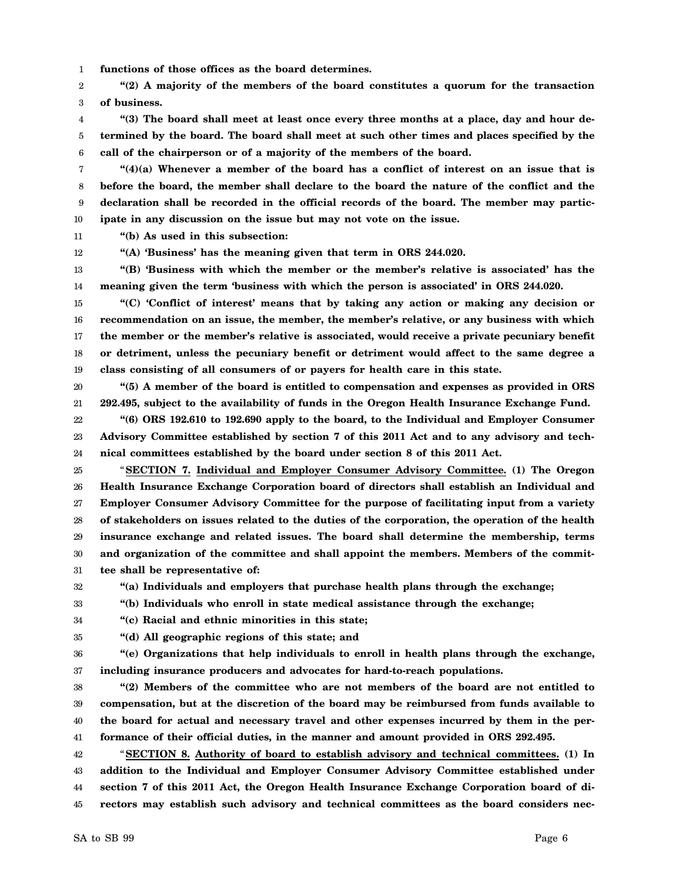1 **functions of those offices as the board determines.**

2 3 **"(2) A majority of the members of the board constitutes a quorum for the transaction of business.**

4 5 6 **"(3) The board shall meet at least once every three months at a place, day and hour determined by the board. The board shall meet at such other times and places specified by the call of the chairperson or of a majority of the members of the board.**

7 8 9 10 **"(4)(a) Whenever a member of the board has a conflict of interest on an issue that is before the board, the member shall declare to the board the nature of the conflict and the declaration shall be recorded in the official records of the board. The member may participate in any discussion on the issue but may not vote on the issue.**

11 **"(b) As used in this subsection:**

12 **"(A) 'Business' has the meaning given that term in ORS 244.020.**

13 14 **"(B) 'Business with which the member or the member's relative is associated' has the meaning given the term 'business with which the person is associated' in ORS 244.020.**

15 16 17 18 19 **"(C) 'Conflict of interest' means that by taking any action or making any decision or recommendation on an issue, the member, the member's relative, or any business with which the member or the member's relative is associated, would receive a private pecuniary benefit or detriment, unless the pecuniary benefit or detriment would affect to the same degree a class consisting of all consumers of or payers for health care in this state.**

20 21 **"(5) A member of the board is entitled to compensation and expenses as provided in ORS 292.495, subject to the availability of funds in the Oregon Health Insurance Exchange Fund.**

22 23 24 **"(6) ORS 192.610 to 192.690 apply to the board, to the Individual and Employer Consumer Advisory Committee established by section 7 of this 2011 Act and to any advisory and technical committees established by the board under section 8 of this 2011 Act.**

25 26 27 28 29 30 31 "**SECTION 7. Individual and Employer Consumer Advisory Committee. (1) The Oregon Health Insurance Exchange Corporation board of directors shall establish an Individual and Employer Consumer Advisory Committee for the purpose of facilitating input from a variety of stakeholders on issues related to the duties of the corporation, the operation of the health insurance exchange and related issues. The board shall determine the membership, terms and organization of the committee and shall appoint the members. Members of the committee shall be representative of:**

32 **"(a) Individuals and employers that purchase health plans through the exchange;**

33 **"(b) Individuals who enroll in state medical assistance through the exchange;**

34 **"(c) Racial and ethnic minorities in this state;**

35

**"(d) All geographic regions of this state; and**

36 37 **"(e) Organizations that help individuals to enroll in health plans through the exchange, including insurance producers and advocates for hard-to-reach populations.**

38 39 40 41 **"(2) Members of the committee who are not members of the board are not entitled to compensation, but at the discretion of the board may be reimbursed from funds available to the board for actual and necessary travel and other expenses incurred by them in the performance of their official duties, in the manner and amount provided in ORS 292.495.**

42 43 44 45 "**SECTION 8. Authority of board to establish advisory and technical committees. (1) In addition to the Individual and Employer Consumer Advisory Committee established under section 7 of this 2011 Act, the Oregon Health Insurance Exchange Corporation board of directors may establish such advisory and technical committees as the board considers nec-**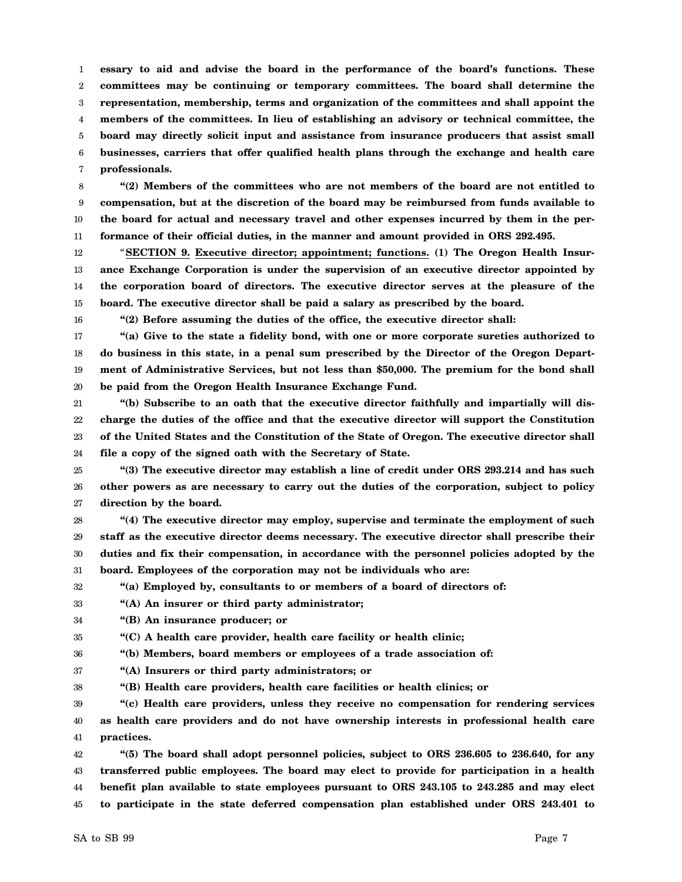1 2 3 4 5 6 7 **essary to aid and advise the board in the performance of the board's functions. These committees may be continuing or temporary committees. The board shall determine the representation, membership, terms and organization of the committees and shall appoint the members of the committees. In lieu of establishing an advisory or technical committee, the board may directly solicit input and assistance from insurance producers that assist small businesses, carriers that offer qualified health plans through the exchange and health care professionals.**

8 9 10 11 **"(2) Members of the committees who are not members of the board are not entitled to compensation, but at the discretion of the board may be reimbursed from funds available to the board for actual and necessary travel and other expenses incurred by them in the performance of their official duties, in the manner and amount provided in ORS 292.495.**

12 13 14 15 "**SECTION 9. Executive director; appointment; functions. (1) The Oregon Health Insurance Exchange Corporation is under the supervision of an executive director appointed by the corporation board of directors. The executive director serves at the pleasure of the board. The executive director shall be paid a salary as prescribed by the board.**

16

**"(2) Before assuming the duties of the office, the executive director shall:**

17 18 19 20 **"(a) Give to the state a fidelity bond, with one or more corporate sureties authorized to do business in this state, in a penal sum prescribed by the Director of the Oregon Department of Administrative Services, but not less than \$50,000. The premium for the bond shall be paid from the Oregon Health Insurance Exchange Fund.**

21 22 23 24 **"(b) Subscribe to an oath that the executive director faithfully and impartially will discharge the duties of the office and that the executive director will support the Constitution of the United States and the Constitution of the State of Oregon. The executive director shall file a copy of the signed oath with the Secretary of State.**

25 26 27 **"(3) The executive director may establish a line of credit under ORS 293.214 and has such other powers as are necessary to carry out the duties of the corporation, subject to policy direction by the board.**

28 29 30 31 **"(4) The executive director may employ, supervise and terminate the employment of such staff as the executive director deems necessary. The executive director shall prescribe their duties and fix their compensation, in accordance with the personnel policies adopted by the board. Employees of the corporation may not be individuals who are:**

32 **"(a) Employed by, consultants to or members of a board of directors of:**

33 **"(A) An insurer or third party administrator;**

34 **"(B) An insurance producer; or**

35 **"(C) A health care provider, health care facility or health clinic;**

36 **"(b) Members, board members or employees of a trade association of:**

- 37 **"(A) Insurers or third party administrators; or**
- 38 **"(B) Health care providers, health care facilities or health clinics; or**

39 40 41 **"(c) Health care providers, unless they receive no compensation for rendering services as health care providers and do not have ownership interests in professional health care practices.**

42 43 44 45 **"(5) The board shall adopt personnel policies, subject to ORS 236.605 to 236.640, for any transferred public employees. The board may elect to provide for participation in a health benefit plan available to state employees pursuant to ORS 243.105 to 243.285 and may elect to participate in the state deferred compensation plan established under ORS 243.401 to**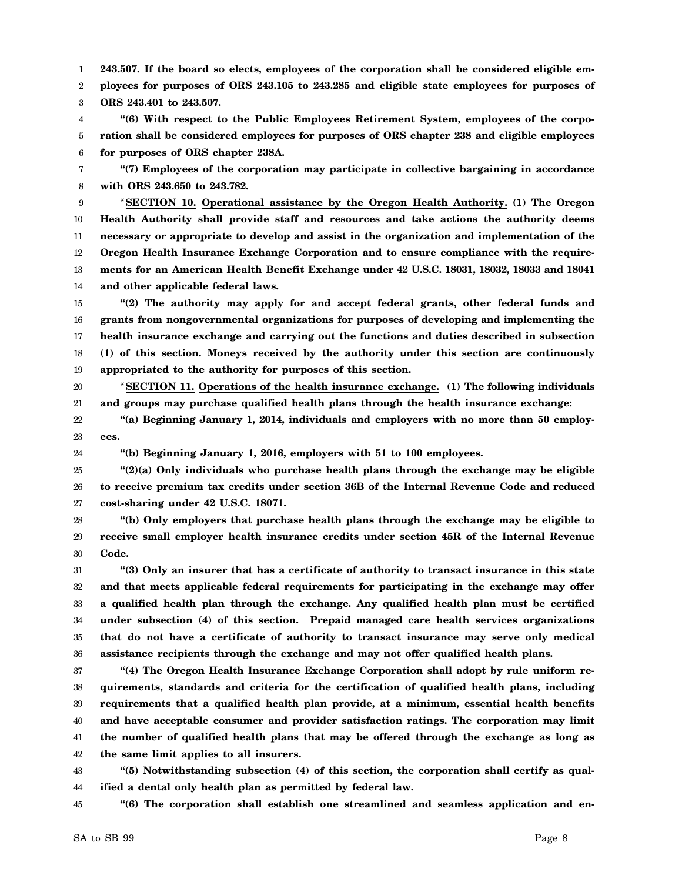1 **243.507. If the board so elects, employees of the corporation shall be considered eligible em-**

2 3 **ployees for purposes of ORS 243.105 to 243.285 and eligible state employees for purposes of ORS 243.401 to 243.507.**

4 5 6 **"(6) With respect to the Public Employees Retirement System, employees of the corporation shall be considered employees for purposes of ORS chapter 238 and eligible employees for purposes of ORS chapter 238A.**

7 8 **"(7) Employees of the corporation may participate in collective bargaining in accordance with ORS 243.650 to 243.782.**

9 10 11 12 13 14 "**SECTION 10. Operational assistance by the Oregon Health Authority. (1) The Oregon Health Authority shall provide staff and resources and take actions the authority deems necessary or appropriate to develop and assist in the organization and implementation of the Oregon Health Insurance Exchange Corporation and to ensure compliance with the requirements for an American Health Benefit Exchange under 42 U.S.C. 18031, 18032, 18033 and 18041 and other applicable federal laws.**

15 16 17 18 19 **"(2) The authority may apply for and accept federal grants, other federal funds and grants from nongovernmental organizations for purposes of developing and implementing the health insurance exchange and carrying out the functions and duties described in subsection (1) of this section. Moneys received by the authority under this section are continuously appropriated to the authority for purposes of this section.**

20 21 "**SECTION 11. Operations of the health insurance exchange. (1) The following individuals and groups may purchase qualified health plans through the health insurance exchange:**

22 23 **"(a) Beginning January 1, 2014, individuals and employers with no more than 50 employees.**

24

**"(b) Beginning January 1, 2016, employers with 51 to 100 employees.**

25 26 27 **"(2)(a) Only individuals who purchase health plans through the exchange may be eligible to receive premium tax credits under section 36B of the Internal Revenue Code and reduced cost-sharing under 42 U.S.C. 18071.**

28 29 30 **"(b) Only employers that purchase health plans through the exchange may be eligible to receive small employer health insurance credits under section 45R of the Internal Revenue Code.**

31 32 33 34 35 36 **"(3) Only an insurer that has a certificate of authority to transact insurance in this state and that meets applicable federal requirements for participating in the exchange may offer a qualified health plan through the exchange. Any qualified health plan must be certified under subsection (4) of this section. Prepaid managed care health services organizations that do not have a certificate of authority to transact insurance may serve only medical assistance recipients through the exchange and may not offer qualified health plans.**

37 38 39 40 41 42 **"(4) The Oregon Health Insurance Exchange Corporation shall adopt by rule uniform requirements, standards and criteria for the certification of qualified health plans, including requirements that a qualified health plan provide, at a minimum, essential health benefits and have acceptable consumer and provider satisfaction ratings. The corporation may limit the number of qualified health plans that may be offered through the exchange as long as the same limit applies to all insurers.**

43 44 **"(5) Notwithstanding subsection (4) of this section, the corporation shall certify as qualified a dental only health plan as permitted by federal law.**

45 **"(6) The corporation shall establish one streamlined and seamless application and en-**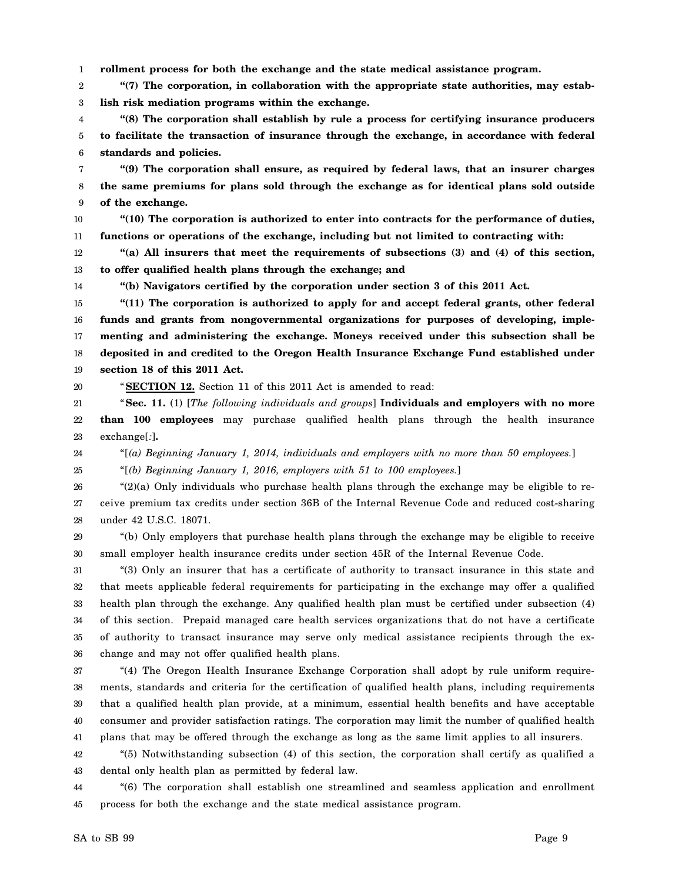1 **rollment process for both the exchange and the state medical assistance program.**

2 3 **"(7) The corporation, in collaboration with the appropriate state authorities, may establish risk mediation programs within the exchange.**

4 5 6 **"(8) The corporation shall establish by rule a process for certifying insurance producers to facilitate the transaction of insurance through the exchange, in accordance with federal standards and policies.**

7 8 9 **"(9) The corporation shall ensure, as required by federal laws, that an insurer charges the same premiums for plans sold through the exchange as for identical plans sold outside of the exchange.**

10 11 **"(10) The corporation is authorized to enter into contracts for the performance of duties, functions or operations of the exchange, including but not limited to contracting with:**

12 13 **"(a) All insurers that meet the requirements of subsections (3) and (4) of this section, to offer qualified health plans through the exchange; and**

14

**"(b) Navigators certified by the corporation under section 3 of this 2011 Act.**

15 16 17 18 19 **"(11) The corporation is authorized to apply for and accept federal grants, other federal funds and grants from nongovernmental organizations for purposes of developing, implementing and administering the exchange. Moneys received under this subsection shall be deposited in and credited to the Oregon Health Insurance Exchange Fund established under section 18 of this 2011 Act.**

20

"**SECTION 12.** Section 11 of this 2011 Act is amended to read:

21 22 23 "**Sec. 11.** (1) [*The following individuals and groups*] **Individuals and employers with no more than 100 employees** may purchase qualified health plans through the health insurance exchange[*:*]**.**

24 "[*(a) Beginning January 1, 2014, individuals and employers with no more than 50 employees.*]

25 "[*(b) Beginning January 1, 2016, employers with 51 to 100 employees.*]

26 27 28 "(2)(a) Only individuals who purchase health plans through the exchange may be eligible to receive premium tax credits under section 36B of the Internal Revenue Code and reduced cost-sharing under 42 U.S.C. 18071.

29 30 "(b) Only employers that purchase health plans through the exchange may be eligible to receive small employer health insurance credits under section 45R of the Internal Revenue Code.

31 32 33 34 35 36 "(3) Only an insurer that has a certificate of authority to transact insurance in this state and that meets applicable federal requirements for participating in the exchange may offer a qualified health plan through the exchange. Any qualified health plan must be certified under subsection (4) of this section. Prepaid managed care health services organizations that do not have a certificate of authority to transact insurance may serve only medical assistance recipients through the exchange and may not offer qualified health plans.

37 38 39 40 41 "(4) The Oregon Health Insurance Exchange Corporation shall adopt by rule uniform requirements, standards and criteria for the certification of qualified health plans, including requirements that a qualified health plan provide, at a minimum, essential health benefits and have acceptable consumer and provider satisfaction ratings. The corporation may limit the number of qualified health plans that may be offered through the exchange as long as the same limit applies to all insurers.

42 43 "(5) Notwithstanding subsection (4) of this section, the corporation shall certify as qualified a dental only health plan as permitted by federal law.

44 45 "(6) The corporation shall establish one streamlined and seamless application and enrollment process for both the exchange and the state medical assistance program.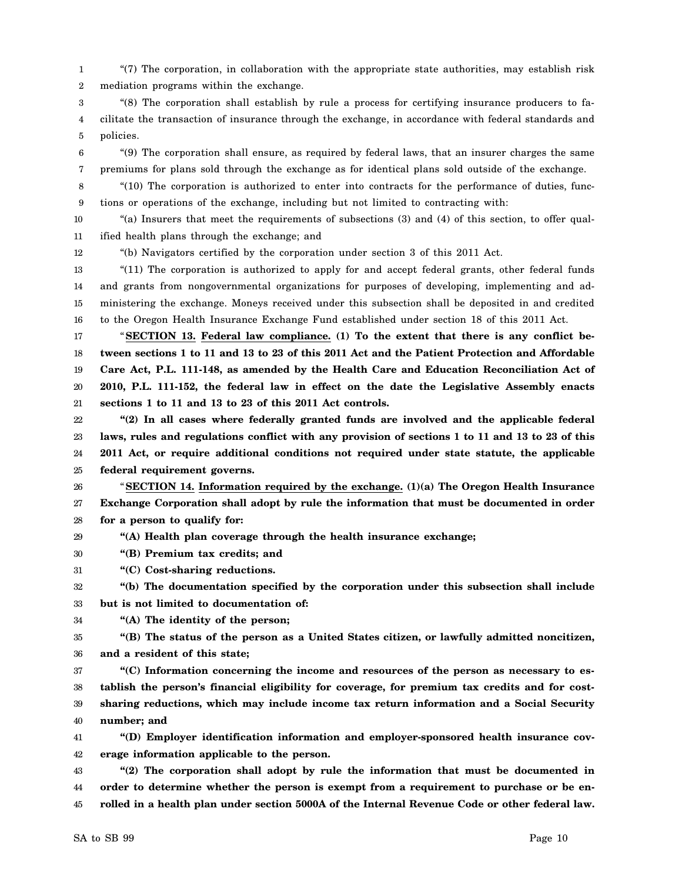1 2 "(7) The corporation, in collaboration with the appropriate state authorities, may establish risk mediation programs within the exchange.

3 4 5 "(8) The corporation shall establish by rule a process for certifying insurance producers to facilitate the transaction of insurance through the exchange, in accordance with federal standards and policies.

6 7 "(9) The corporation shall ensure, as required by federal laws, that an insurer charges the same premiums for plans sold through the exchange as for identical plans sold outside of the exchange.

8 9 "(10) The corporation is authorized to enter into contracts for the performance of duties, functions or operations of the exchange, including but not limited to contracting with:

10 11 "(a) Insurers that meet the requirements of subsections (3) and (4) of this section, to offer qualified health plans through the exchange; and

"(b) Navigators certified by the corporation under section 3 of this 2011 Act.

13 14 15 16 "(11) The corporation is authorized to apply for and accept federal grants, other federal funds and grants from nongovernmental organizations for purposes of developing, implementing and administering the exchange. Moneys received under this subsection shall be deposited in and credited to the Oregon Health Insurance Exchange Fund established under section 18 of this 2011 Act.

17 18 19 20 21 "**SECTION 13. Federal law compliance. (1) To the extent that there is any conflict between sections 1 to 11 and 13 to 23 of this 2011 Act and the Patient Protection and Affordable Care Act, P.L. 111-148, as amended by the Health Care and Education Reconciliation Act of 2010, P.L. 111-152, the federal law in effect on the date the Legislative Assembly enacts sections 1 to 11 and 13 to 23 of this 2011 Act controls.**

22 23 24 25 **"(2) In all cases where federally granted funds are involved and the applicable federal laws, rules and regulations conflict with any provision of sections 1 to 11 and 13 to 23 of this 2011 Act, or require additional conditions not required under state statute, the applicable federal requirement governs.**

26 27 28 "**SECTION 14. Information required by the exchange. (1)(a) The Oregon Health Insurance Exchange Corporation shall adopt by rule the information that must be documented in order for a person to qualify for:**

29 **"(A) Health plan coverage through the health insurance exchange;**

30 **"(B) Premium tax credits; and**

31 **"(C) Cost-sharing reductions.**

32 33 **"(b) The documentation specified by the corporation under this subsection shall include but is not limited to documentation of:**

34 **"(A) The identity of the person;**

35 36 **"(B) The status of the person as a United States citizen, or lawfully admitted noncitizen, and a resident of this state;**

37 38 39 40 **"(C) Information concerning the income and resources of the person as necessary to establish the person's financial eligibility for coverage, for premium tax credits and for costsharing reductions, which may include income tax return information and a Social Security number; and**

41 42 **"(D) Employer identification information and employer-sponsored health insurance coverage information applicable to the person.**

43 44 45 **"(2) The corporation shall adopt by rule the information that must be documented in order to determine whether the person is exempt from a requirement to purchase or be enrolled in a health plan under section 5000A of the Internal Revenue Code or other federal law.**

12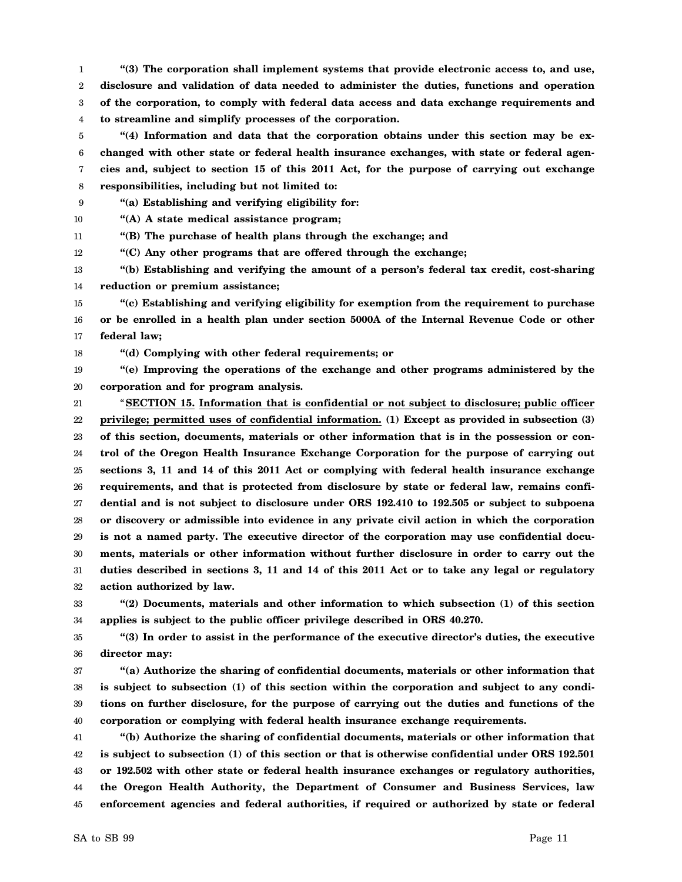1 2 3 4 **"(3) The corporation shall implement systems that provide electronic access to, and use, disclosure and validation of data needed to administer the duties, functions and operation of the corporation, to comply with federal data access and data exchange requirements and to streamline and simplify processes of the corporation.**

5 6 7 8 **"(4) Information and data that the corporation obtains under this section may be exchanged with other state or federal health insurance exchanges, with state or federal agencies and, subject to section 15 of this 2011 Act, for the purpose of carrying out exchange responsibilities, including but not limited to:**

9 **"(a) Establishing and verifying eligibility for:**

10 **"(A) A state medical assistance program;**

11 **"(B) The purchase of health plans through the exchange; and**

12 **"(C) Any other programs that are offered through the exchange;**

13 14 **"(b) Establishing and verifying the amount of a person's federal tax credit, cost-sharing reduction or premium assistance;**

15 16 17 **"(c) Establishing and verifying eligibility for exemption from the requirement to purchase or be enrolled in a health plan under section 5000A of the Internal Revenue Code or other federal law;**

18 **"(d) Complying with other federal requirements; or**

19 20 **"(e) Improving the operations of the exchange and other programs administered by the corporation and for program analysis.**

21 22 23 24 25 26 27 28 29 30 31 32 "**SECTION 15. Information that is confidential or not subject to disclosure; public officer privilege; permitted uses of confidential information. (1) Except as provided in subsection (3) of this section, documents, materials or other information that is in the possession or control of the Oregon Health Insurance Exchange Corporation for the purpose of carrying out sections 3, 11 and 14 of this 2011 Act or complying with federal health insurance exchange requirements, and that is protected from disclosure by state or federal law, remains confidential and is not subject to disclosure under ORS 192.410 to 192.505 or subject to subpoena or discovery or admissible into evidence in any private civil action in which the corporation is not a named party. The executive director of the corporation may use confidential documents, materials or other information without further disclosure in order to carry out the duties described in sections 3, 11 and 14 of this 2011 Act or to take any legal or regulatory action authorized by law.**

33 34 **"(2) Documents, materials and other information to which subsection (1) of this section applies is subject to the public officer privilege described in ORS 40.270.**

35 36 **"(3) In order to assist in the performance of the executive director's duties, the executive director may:**

37 38 39 40 **"(a) Authorize the sharing of confidential documents, materials or other information that is subject to subsection (1) of this section within the corporation and subject to any conditions on further disclosure, for the purpose of carrying out the duties and functions of the corporation or complying with federal health insurance exchange requirements.**

41 42 43 44 45 **"(b) Authorize the sharing of confidential documents, materials or other information that is subject to subsection (1) of this section or that is otherwise confidential under ORS 192.501 or 192.502 with other state or federal health insurance exchanges or regulatory authorities, the Oregon Health Authority, the Department of Consumer and Business Services, law enforcement agencies and federal authorities, if required or authorized by state or federal**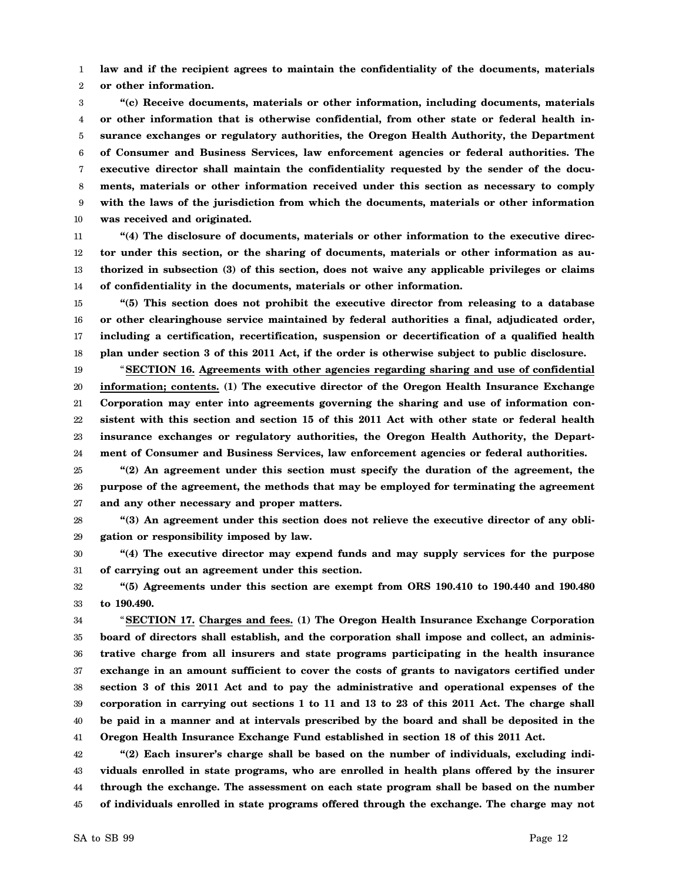1 2 **law and if the recipient agrees to maintain the confidentiality of the documents, materials or other information.**

3 4 5 6 7 8 9 10 **"(c) Receive documents, materials or other information, including documents, materials or other information that is otherwise confidential, from other state or federal health insurance exchanges or regulatory authorities, the Oregon Health Authority, the Department of Consumer and Business Services, law enforcement agencies or federal authorities. The executive director shall maintain the confidentiality requested by the sender of the documents, materials or other information received under this section as necessary to comply with the laws of the jurisdiction from which the documents, materials or other information was received and originated.**

11 12 13 14 **"(4) The disclosure of documents, materials or other information to the executive director under this section, or the sharing of documents, materials or other information as authorized in subsection (3) of this section, does not waive any applicable privileges or claims of confidentiality in the documents, materials or other information.**

15 16 17 18 **"(5) This section does not prohibit the executive director from releasing to a database or other clearinghouse service maintained by federal authorities a final, adjudicated order, including a certification, recertification, suspension or decertification of a qualified health plan under section 3 of this 2011 Act, if the order is otherwise subject to public disclosure.**

19 20 21 22 23 24 "**SECTION 16. Agreements with other agencies regarding sharing and use of confidential information; contents. (1) The executive director of the Oregon Health Insurance Exchange Corporation may enter into agreements governing the sharing and use of information consistent with this section and section 15 of this 2011 Act with other state or federal health insurance exchanges or regulatory authorities, the Oregon Health Authority, the Department of Consumer and Business Services, law enforcement agencies or federal authorities.**

25 26 27 **"(2) An agreement under this section must specify the duration of the agreement, the purpose of the agreement, the methods that may be employed for terminating the agreement and any other necessary and proper matters.**

28 29 **"(3) An agreement under this section does not relieve the executive director of any obligation or responsibility imposed by law.**

30 31 **"(4) The executive director may expend funds and may supply services for the purpose of carrying out an agreement under this section.**

32 33 **"(5) Agreements under this section are exempt from ORS 190.410 to 190.440 and 190.480 to 190.490.**

34 35 36 37 38 39 40 41 "**SECTION 17. Charges and fees. (1) The Oregon Health Insurance Exchange Corporation board of directors shall establish, and the corporation shall impose and collect, an administrative charge from all insurers and state programs participating in the health insurance exchange in an amount sufficient to cover the costs of grants to navigators certified under section 3 of this 2011 Act and to pay the administrative and operational expenses of the corporation in carrying out sections 1 to 11 and 13 to 23 of this 2011 Act. The charge shall be paid in a manner and at intervals prescribed by the board and shall be deposited in the Oregon Health Insurance Exchange Fund established in section 18 of this 2011 Act.**

42 43 44 45 **"(2) Each insurer's charge shall be based on the number of individuals, excluding individuals enrolled in state programs, who are enrolled in health plans offered by the insurer through the exchange. The assessment on each state program shall be based on the number of individuals enrolled in state programs offered through the exchange. The charge may not**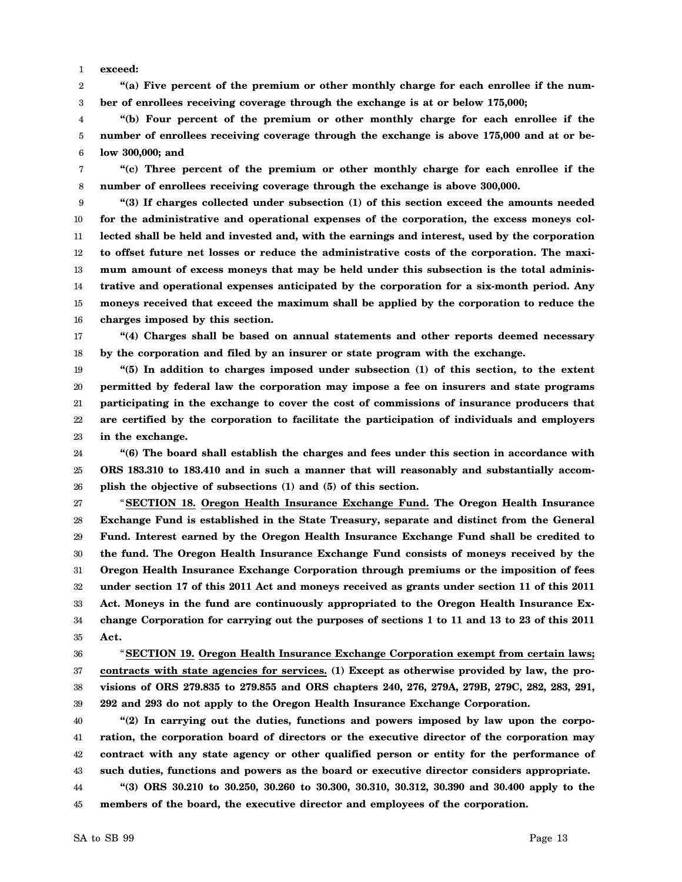1 **exceed:**

2 3 **"(a) Five percent of the premium or other monthly charge for each enrollee if the number of enrollees receiving coverage through the exchange is at or below 175,000;**

4 5 6 **"(b) Four percent of the premium or other monthly charge for each enrollee if the number of enrollees receiving coverage through the exchange is above 175,000 and at or below 300,000; and**

7 8 **"(c) Three percent of the premium or other monthly charge for each enrollee if the number of enrollees receiving coverage through the exchange is above 300,000.**

9 10 11 12 13 14 15 16 **"(3) If charges collected under subsection (1) of this section exceed the amounts needed for the administrative and operational expenses of the corporation, the excess moneys collected shall be held and invested and, with the earnings and interest, used by the corporation to offset future net losses or reduce the administrative costs of the corporation. The maximum amount of excess moneys that may be held under this subsection is the total administrative and operational expenses anticipated by the corporation for a six-month period. Any moneys received that exceed the maximum shall be applied by the corporation to reduce the charges imposed by this section.**

17 18 **"(4) Charges shall be based on annual statements and other reports deemed necessary by the corporation and filed by an insurer or state program with the exchange.**

19 20 21 22 23 **"(5) In addition to charges imposed under subsection (1) of this section, to the extent permitted by federal law the corporation may impose a fee on insurers and state programs participating in the exchange to cover the cost of commissions of insurance producers that are certified by the corporation to facilitate the participation of individuals and employers in the exchange.**

24 25 26 **"(6) The board shall establish the charges and fees under this section in accordance with ORS 183.310 to 183.410 and in such a manner that will reasonably and substantially accomplish the objective of subsections (1) and (5) of this section.**

27 28 29 30 31 32 33 34 35 "**SECTION 18. Oregon Health Insurance Exchange Fund. The Oregon Health Insurance Exchange Fund is established in the State Treasury, separate and distinct from the General Fund. Interest earned by the Oregon Health Insurance Exchange Fund shall be credited to the fund. The Oregon Health Insurance Exchange Fund consists of moneys received by the Oregon Health Insurance Exchange Corporation through premiums or the imposition of fees under section 17 of this 2011 Act and moneys received as grants under section 11 of this 2011 Act. Moneys in the fund are continuously appropriated to the Oregon Health Insurance Exchange Corporation for carrying out the purposes of sections 1 to 11 and 13 to 23 of this 2011 Act.**

36 37 38 39 "**SECTION 19. Oregon Health Insurance Exchange Corporation exempt from certain laws; contracts with state agencies for services. (1) Except as otherwise provided by law, the provisions of ORS 279.835 to 279.855 and ORS chapters 240, 276, 279A, 279B, 279C, 282, 283, 291, 292 and 293 do not apply to the Oregon Health Insurance Exchange Corporation.**

40 41 42 43 44 **"(2) In carrying out the duties, functions and powers imposed by law upon the corporation, the corporation board of directors or the executive director of the corporation may contract with any state agency or other qualified person or entity for the performance of such duties, functions and powers as the board or executive director considers appropriate. "(3) ORS 30.210 to 30.250, 30.260 to 30.300, 30.310, 30.312, 30.390 and 30.400 apply to the**

45 **members of the board, the executive director and employees of the corporation.**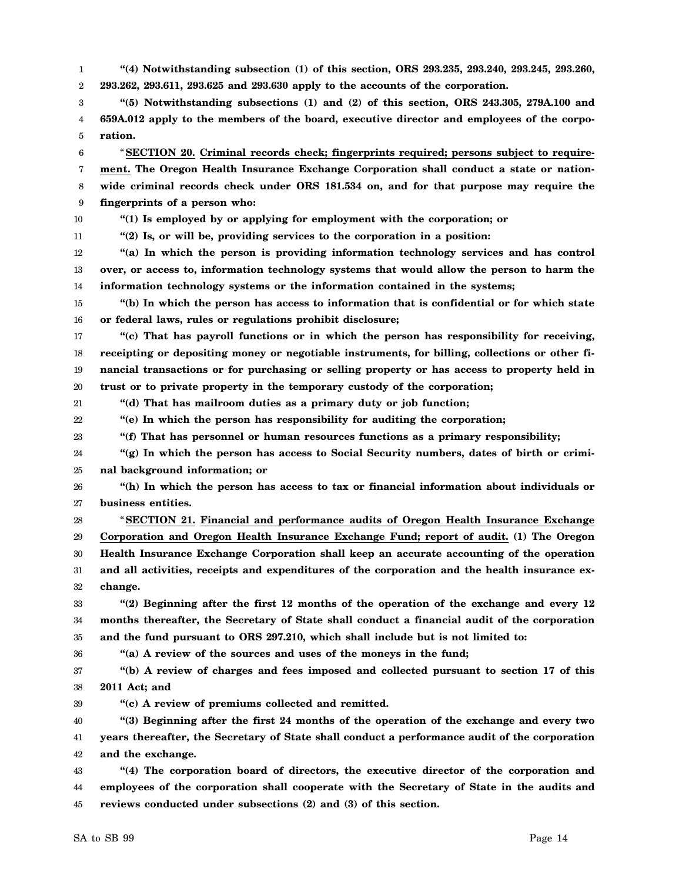1 2 **"(4) Notwithstanding subsection (1) of this section, ORS 293.235, 293.240, 293.245, 293.260, 293.262, 293.611, 293.625 and 293.630 apply to the accounts of the corporation.**

3 4 5 **"(5) Notwithstanding subsections (1) and (2) of this section, ORS 243.305, 279A.100 and 659A.012 apply to the members of the board, executive director and employees of the corporation.**

6 7 8 9 "**SECTION 20. Criminal records check; fingerprints required; persons subject to requirement. The Oregon Health Insurance Exchange Corporation shall conduct a state or nationwide criminal records check under ORS 181.534 on, and for that purpose may require the fingerprints of a person who:**

10

**"(1) Is employed by or applying for employment with the corporation; or**

11 **"(2) Is, or will be, providing services to the corporation in a position:**

12 13 14 **"(a) In which the person is providing information technology services and has control over, or access to, information technology systems that would allow the person to harm the information technology systems or the information contained in the systems;**

15 16 **"(b) In which the person has access to information that is confidential or for which state or federal laws, rules or regulations prohibit disclosure;**

17 18 19 20 **"(c) That has payroll functions or in which the person has responsibility for receiving, receipting or depositing money or negotiable instruments, for billing, collections or other financial transactions or for purchasing or selling property or has access to property held in trust or to private property in the temporary custody of the corporation;**

21 **"(d) That has mailroom duties as a primary duty or job function;**

22 **"(e) In which the person has responsibility for auditing the corporation;**

23 **"(f) That has personnel or human resources functions as a primary responsibility;**

24 25 **"(g) In which the person has access to Social Security numbers, dates of birth or criminal background information; or**

26 27 **"(h) In which the person has access to tax or financial information about individuals or business entities.**

28 29 30 31 32 "**SECTION 21. Financial and performance audits of Oregon Health Insurance Exchange Corporation and Oregon Health Insurance Exchange Fund; report of audit. (1) The Oregon Health Insurance Exchange Corporation shall keep an accurate accounting of the operation and all activities, receipts and expenditures of the corporation and the health insurance exchange.**

33 34 35 **"(2) Beginning after the first 12 months of the operation of the exchange and every 12 months thereafter, the Secretary of State shall conduct a financial audit of the corporation and the fund pursuant to ORS 297.210, which shall include but is not limited to:**

**"(a) A review of the sources and uses of the moneys in the fund;**

37 38 **"(b) A review of charges and fees imposed and collected pursuant to section 17 of this 2011 Act; and**

39 **"(c) A review of premiums collected and remitted.**

40 41 42 **"(3) Beginning after the first 24 months of the operation of the exchange and every two years thereafter, the Secretary of State shall conduct a performance audit of the corporation and the exchange.**

43 44 45 **"(4) The corporation board of directors, the executive director of the corporation and employees of the corporation shall cooperate with the Secretary of State in the audits and reviews conducted under subsections (2) and (3) of this section.**

36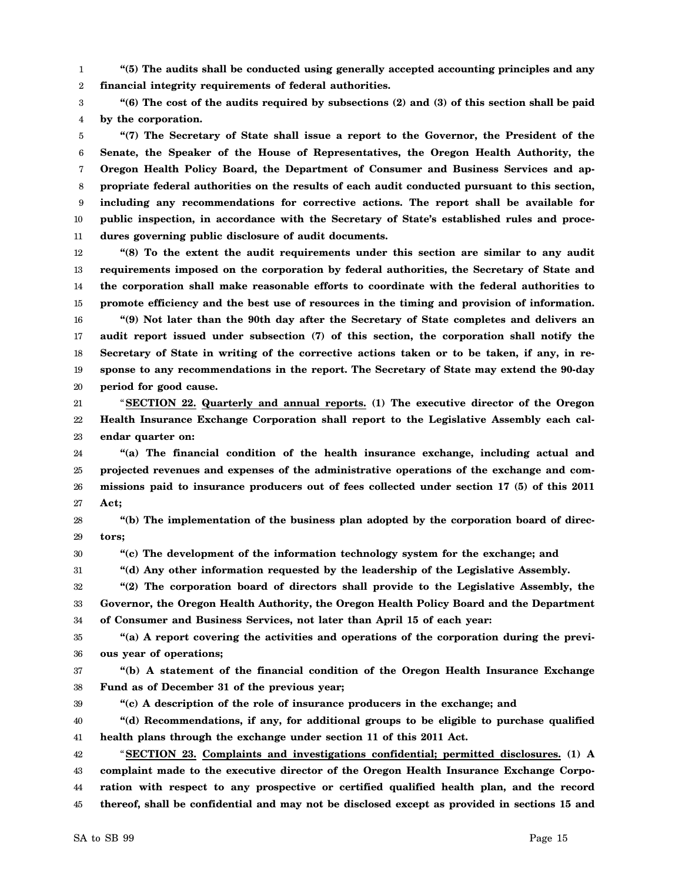1 2 **"(5) The audits shall be conducted using generally accepted accounting principles and any financial integrity requirements of federal authorities.**

3 4 **"(6) The cost of the audits required by subsections (2) and (3) of this section shall be paid by the corporation.**

5 6 7 8 9 10 11 **"(7) The Secretary of State shall issue a report to the Governor, the President of the Senate, the Speaker of the House of Representatives, the Oregon Health Authority, the Oregon Health Policy Board, the Department of Consumer and Business Services and appropriate federal authorities on the results of each audit conducted pursuant to this section, including any recommendations for corrective actions. The report shall be available for public inspection, in accordance with the Secretary of State's established rules and procedures governing public disclosure of audit documents.**

12 13 14 15 16 17 18 **"(8) To the extent the audit requirements under this section are similar to any audit requirements imposed on the corporation by federal authorities, the Secretary of State and the corporation shall make reasonable efforts to coordinate with the federal authorities to promote efficiency and the best use of resources in the timing and provision of information. "(9) Not later than the 90th day after the Secretary of State completes and delivers an audit report issued under subsection (7) of this section, the corporation shall notify the Secretary of State in writing of the corrective actions taken or to be taken, if any, in re-**

20 21 22 23 **period for good cause.** "**SECTION 22. Quarterly and annual reports. (1) The executive director of the Oregon Health Insurance Exchange Corporation shall report to the Legislative Assembly each calendar quarter on:**

**sponse to any recommendations in the report. The Secretary of State may extend the 90-day**

24 25 26 27 **"(a) The financial condition of the health insurance exchange, including actual and projected revenues and expenses of the administrative operations of the exchange and commissions paid to insurance producers out of fees collected under section 17 (5) of this 2011 Act;**

28 29 **"(b) The implementation of the business plan adopted by the corporation board of directors;**

30 **"(c) The development of the information technology system for the exchange; and**

**"(d) Any other information requested by the leadership of the Legislative Assembly.**

32 33 34 **"(2) The corporation board of directors shall provide to the Legislative Assembly, the Governor, the Oregon Health Authority, the Oregon Health Policy Board and the Department of Consumer and Business Services, not later than April 15 of each year:**

35 36 **"(a) A report covering the activities and operations of the corporation during the previous year of operations;**

37 38 **"(b) A statement of the financial condition of the Oregon Health Insurance Exchange Fund as of December 31 of the previous year;**

39

19

31

**"(c) A description of the role of insurance producers in the exchange; and**

40 41 **"(d) Recommendations, if any, for additional groups to be eligible to purchase qualified health plans through the exchange under section 11 of this 2011 Act.**

42 43 44 45 "**SECTION 23. Complaints and investigations confidential; permitted disclosures. (1) A complaint made to the executive director of the Oregon Health Insurance Exchange Corporation with respect to any prospective or certified qualified health plan, and the record thereof, shall be confidential and may not be disclosed except as provided in sections 15 and**